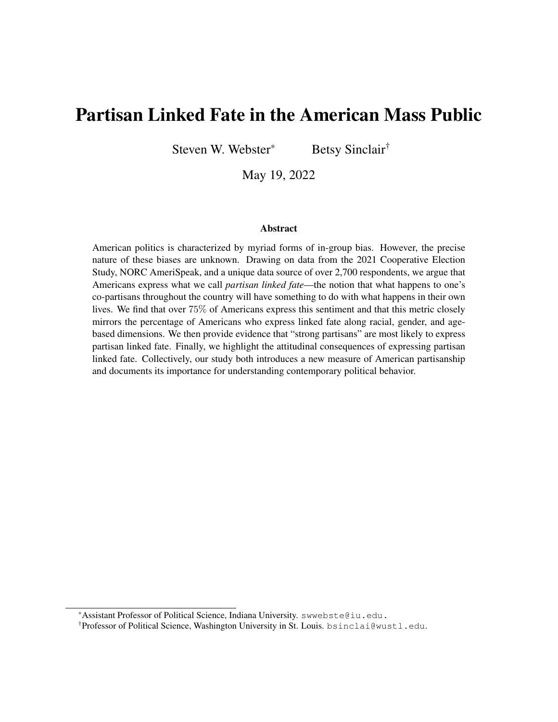# Partisan Linked Fate in the American Mass Public

Steven W. Webster\* Betsy Sinclair<sup>†</sup>

May 19, 2022

#### Abstract

American politics is characterized by myriad forms of in-group bias. However, the precise nature of these biases are unknown. Drawing on data from the 2021 Cooperative Election Study, NORC AmeriSpeak, and a unique data source of over 2,700 respondents, we argue that Americans express what we call *partisan linked fate*—the notion that what happens to one's co-partisans throughout the country will have something to do with what happens in their own lives. We find that over 75% of Americans express this sentiment and that this metric closely mirrors the percentage of Americans who express linked fate along racial, gender, and agebased dimensions. We then provide evidence that "strong partisans" are most likely to express partisan linked fate. Finally, we highlight the attitudinal consequences of expressing partisan linked fate. Collectively, our study both introduces a new measure of American partisanship and documents its importance for understanding contemporary political behavior.

<sup>\*</sup>Assistant Professor of Political Science, Indiana University. swwebste@iu.edu.

<sup>†</sup>Professor of Political Science, Washington University in St. Louis. bsinclai@wustl.edu.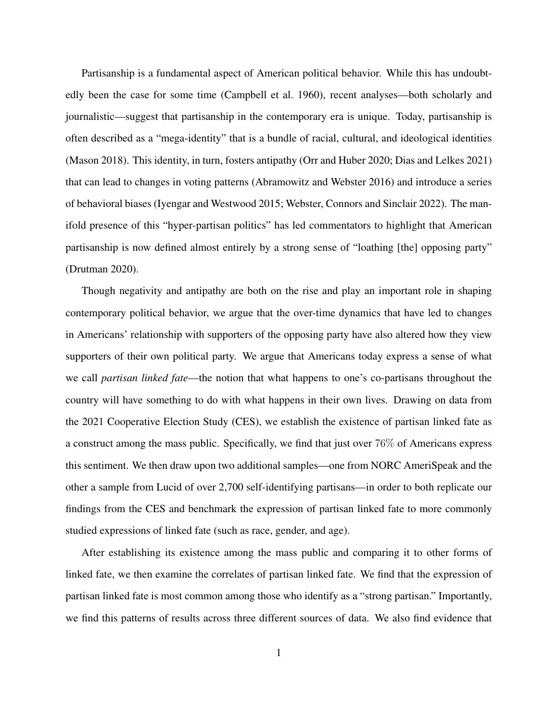Partisanship is a fundamental aspect of American political behavior. While this has undoubtedly been the case for some time [\(Campbell et al.](#page-21-0) [1960\)](#page-21-0), recent analyses—both scholarly and journalistic—suggest that partisanship in the contemporary era is unique. Today, partisanship is often described as a "mega-identity" that is a bundle of racial, cultural, and ideological identities [\(Mason](#page-23-0) [2018\)](#page-23-0). This identity, in turn, fosters antipathy [\(Orr and Huber](#page-23-1) [2020;](#page-23-1) [Dias and Lelkes](#page-21-1) [2021\)](#page-21-1) that can lead to changes in voting patterns [\(Abramowitz and Webster](#page-21-2) [2016\)](#page-21-2) and introduce a series of behavioral biases [\(Iyengar and Westwood](#page-22-0) [2015;](#page-22-0) [Webster, Connors and Sinclair](#page-25-0) [2022\)](#page-25-0). The manifold presence of this "hyper-partisan politics" has led commentators to highlight that American partisanship is now defined almost entirely by a strong sense of "loathing [the] opposing party" [\(Drutman](#page-21-3) [2020\)](#page-21-3).

Though negativity and antipathy are both on the rise and play an important role in shaping contemporary political behavior, we argue that the over-time dynamics that have led to changes in Americans' relationship with supporters of the opposing party have also altered how they view supporters of their own political party. We argue that Americans today express a sense of what we call *partisan linked fate*—the notion that what happens to one's co-partisans throughout the country will have something to do with what happens in their own lives. Drawing on data from the 2021 Cooperative Election Study (CES), we establish the existence of partisan linked fate as a construct among the mass public. Specifically, we find that just over 76% of Americans express this sentiment. We then draw upon two additional samples—one from NORC AmeriSpeak and the other a sample from Lucid of over 2,700 self-identifying partisans—in order to both replicate our findings from the CES and benchmark the expression of partisan linked fate to more commonly studied expressions of linked fate (such as race, gender, and age).

After establishing its existence among the mass public and comparing it to other forms of linked fate, we then examine the correlates of partisan linked fate. We find that the expression of partisan linked fate is most common among those who identify as a "strong partisan." Importantly, we find this patterns of results across three different sources of data. We also find evidence that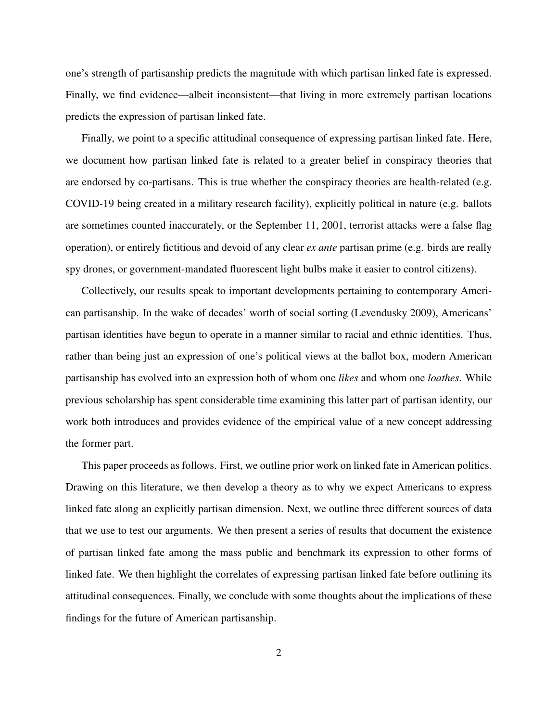one's strength of partisanship predicts the magnitude with which partisan linked fate is expressed. Finally, we find evidence—albeit inconsistent—that living in more extremely partisan locations predicts the expression of partisan linked fate.

Finally, we point to a specific attitudinal consequence of expressing partisan linked fate. Here, we document how partisan linked fate is related to a greater belief in conspiracy theories that are endorsed by co-partisans. This is true whether the conspiracy theories are health-related (e.g. COVID-19 being created in a military research facility), explicitly political in nature (e.g. ballots are sometimes counted inaccurately, or the September 11, 2001, terrorist attacks were a false flag operation), or entirely fictitious and devoid of any clear *ex ante* partisan prime (e.g. birds are really spy drones, or government-mandated fluorescent light bulbs make it easier to control citizens).

Collectively, our results speak to important developments pertaining to contemporary American partisanship. In the wake of decades' worth of social sorting [\(Levendusky](#page-22-1) [2009\)](#page-22-1), Americans' partisan identities have begun to operate in a manner similar to racial and ethnic identities. Thus, rather than being just an expression of one's political views at the ballot box, modern American partisanship has evolved into an expression both of whom one *likes* and whom one *loathes*. While previous scholarship has spent considerable time examining this latter part of partisan identity, our work both introduces and provides evidence of the empirical value of a new concept addressing the former part.

This paper proceeds as follows. First, we outline prior work on linked fate in American politics. Drawing on this literature, we then develop a theory as to why we expect Americans to express linked fate along an explicitly partisan dimension. Next, we outline three different sources of data that we use to test our arguments. We then present a series of results that document the existence of partisan linked fate among the mass public and benchmark its expression to other forms of linked fate. We then highlight the correlates of expressing partisan linked fate before outlining its attitudinal consequences. Finally, we conclude with some thoughts about the implications of these findings for the future of American partisanship.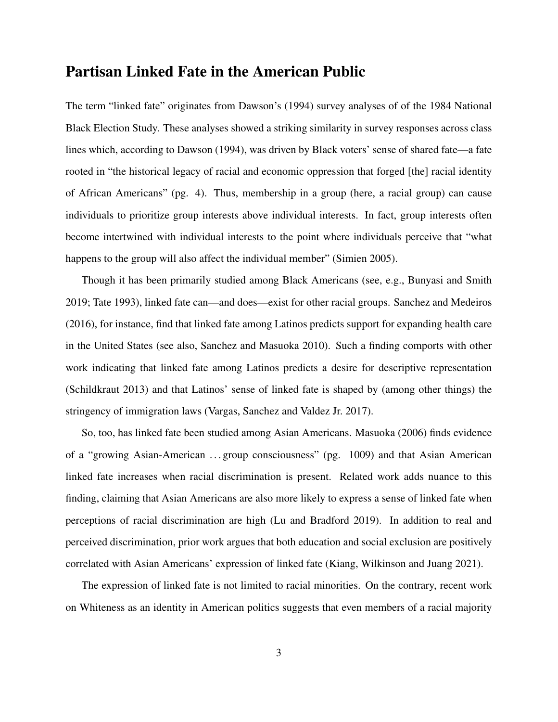### Partisan Linked Fate in the American Public

The term "linked fate" originates from [Dawson'](#page-21-4)s [\(1994\)](#page-21-4) survey analyses of of the 1984 National Black Election Study. These analyses showed a striking similarity in survey responses across class lines which, according to [Dawson](#page-21-4) [\(1994\)](#page-21-4), was driven by Black voters' sense of shared fate—a fate rooted in "the historical legacy of racial and economic oppression that forged [the] racial identity of African Americans" (pg. 4). Thus, membership in a group (here, a racial group) can cause individuals to prioritize group interests above individual interests. In fact, group interests often become intertwined with individual interests to the point where individuals perceive that "what happens to the group will also affect the individual member" [\(Simien](#page-24-0) [2005\)](#page-24-0).

Though it has been primarily studied among Black Americans (see, e.g., [Bunyasi and Smith](#page-21-5) [2019;](#page-21-5) [Tate](#page-24-1) [1993\)](#page-24-1), linked fate can—and does—exist for other racial groups. [Sanchez and Medeiros](#page-23-2) [\(2016\)](#page-23-2), for instance, find that linked fate among Latinos predicts support for expanding health care in the United States (see also, [Sanchez and Masuoka](#page-24-2) [2010\)](#page-24-2). Such a finding comports with other work indicating that linked fate among Latinos predicts a desire for descriptive representation [\(Schildkraut](#page-24-3) [2013\)](#page-24-3) and that Latinos' sense of linked fate is shaped by (among other things) the stringency of immigration laws [\(Vargas, Sanchez and Valdez Jr.](#page-25-1) [2017\)](#page-25-1).

So, too, has linked fate been studied among Asian Americans. [Masuoka](#page-23-3) [\(2006\)](#page-23-3) finds evidence of a "growing Asian-American . . . group consciousness" (pg. 1009) and that Asian American linked fate increases when racial discrimination is present. Related work adds nuance to this finding, claiming that Asian Americans are also more likely to express a sense of linked fate when perceptions of racial discrimination are high [\(Lu and Bradford](#page-22-2) [2019\)](#page-22-2). In addition to real and perceived discrimination, prior work argues that both education and social exclusion are positively correlated with Asian Americans' expression of linked fate [\(Kiang, Wilkinson and Juang](#page-22-3) [2021\)](#page-22-3).

The expression of linked fate is not limited to racial minorities. On the contrary, recent work on Whiteness as an identity in American politics suggests that even members of a racial majority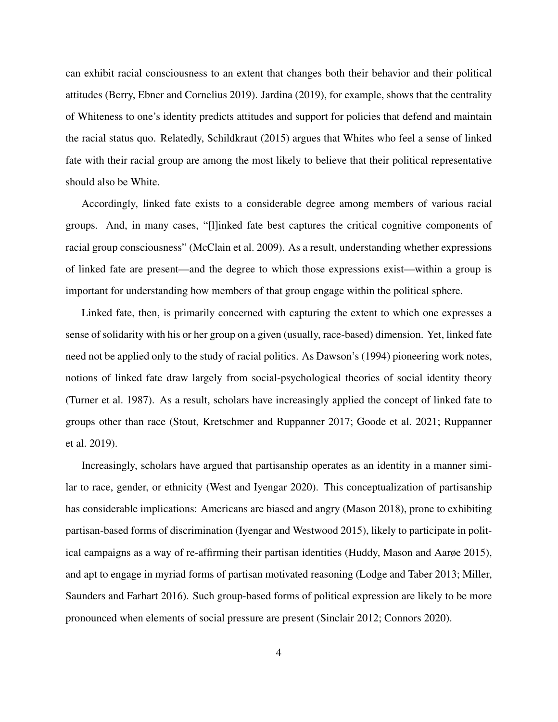can exhibit racial consciousness to an extent that changes both their behavior and their political attitudes [\(Berry, Ebner and Cornelius](#page-21-6) [2019\)](#page-21-6). [Jardina](#page-22-4) [\(2019\)](#page-22-4), for example, shows that the centrality of Whiteness to one's identity predicts attitudes and support for policies that defend and maintain the racial status quo. Relatedly, [Schildkraut](#page-24-4) [\(2015\)](#page-24-4) argues that Whites who feel a sense of linked fate with their racial group are among the most likely to believe that their political representative should also be White.

Accordingly, linked fate exists to a considerable degree among members of various racial groups. And, in many cases, "[l]inked fate best captures the critical cognitive components of racial group consciousness" [\(McClain et al.](#page-23-4) [2009\)](#page-23-4). As a result, understanding whether expressions of linked fate are present—and the degree to which those expressions exist—within a group is important for understanding how members of that group engage within the political sphere.

Linked fate, then, is primarily concerned with capturing the extent to which one expresses a sense of solidarity with his or her group on a given (usually, race-based) dimension. Yet, linked fate need not be applied only to the study of racial politics. As [Dawson'](#page-21-4)s [\(1994\)](#page-21-4) pioneering work notes, notions of linked fate draw largely from social-psychological theories of social identity theory [\(Turner et al.](#page-24-5) [1987\)](#page-24-5). As a result, scholars have increasingly applied the concept of linked fate to groups other than race [\(Stout, Kretschmer and Ruppanner](#page-24-6) [2017;](#page-24-6) [Goode et al.](#page-22-5) [2021;](#page-22-5) [Ruppanner](#page-23-5) [et al.](#page-23-5) [2019\)](#page-23-5).

Increasingly, scholars have argued that partisanship operates as an identity in a manner similar to race, gender, or ethnicity [\(West and Iyengar](#page-25-2) [2020\)](#page-25-2). This conceptualization of partisanship has considerable implications: Americans are biased and angry [\(Mason](#page-23-0) [2018\)](#page-23-0), prone to exhibiting partisan-based forms of discrimination [\(Iyengar and Westwood](#page-22-0) [2015\)](#page-22-0), likely to participate in political campaigns as a way of re-affirming their partisan identities [\(Huddy, Mason and Aarøe](#page-22-6) [2015\)](#page-22-6), and apt to engage in myriad forms of partisan motivated reasoning [\(Lodge and Taber](#page-22-7) [2013;](#page-22-7) [Miller,](#page-23-6) [Saunders and Farhart](#page-23-6) [2016\)](#page-23-6). Such group-based forms of political expression are likely to be more pronounced when elements of social pressure are present [\(Sinclair](#page-24-7) [2012;](#page-24-7) [Connors](#page-21-7) [2020\)](#page-21-7).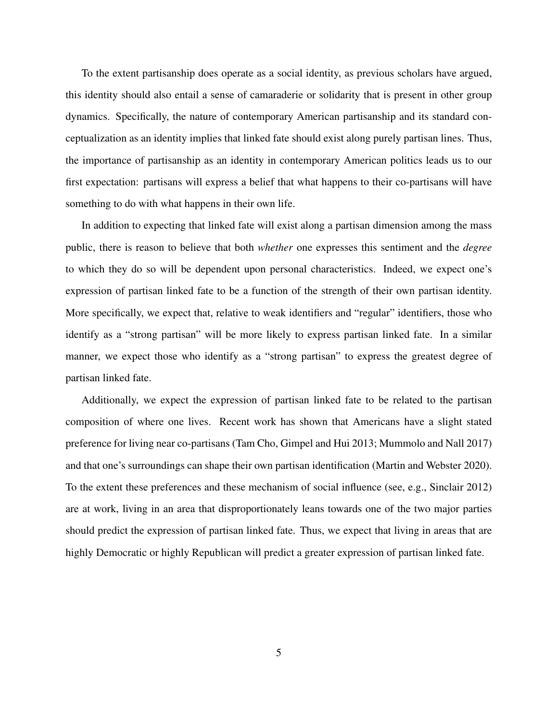To the extent partisanship does operate as a social identity, as previous scholars have argued, this identity should also entail a sense of camaraderie or solidarity that is present in other group dynamics. Specifically, the nature of contemporary American partisanship and its standard conceptualization as an identity implies that linked fate should exist along purely partisan lines. Thus, the importance of partisanship as an identity in contemporary American politics leads us to our first expectation: partisans will express a belief that what happens to their co-partisans will have something to do with what happens in their own life.

In addition to expecting that linked fate will exist along a partisan dimension among the mass public, there is reason to believe that both *whether* one expresses this sentiment and the *degree* to which they do so will be dependent upon personal characteristics. Indeed, we expect one's expression of partisan linked fate to be a function of the strength of their own partisan identity. More specifically, we expect that, relative to weak identifiers and "regular" identifiers, those who identify as a "strong partisan" will be more likely to express partisan linked fate. In a similar manner, we expect those who identify as a "strong partisan" to express the greatest degree of partisan linked fate.

Additionally, we expect the expression of partisan linked fate to be related to the partisan composition of where one lives. Recent work has shown that Americans have a slight stated preference for living near co-partisans [\(Tam Cho, Gimpel and Hui](#page-24-8) [2013;](#page-24-8) [Mummolo and Nall](#page-23-7) [2017\)](#page-23-7) and that one's surroundings can shape their own partisan identification [\(Martin and Webster](#page-22-8) [2020\)](#page-22-8). To the extent these preferences and these mechanism of social influence (see, e.g., [Sinclair](#page-24-7) [2012\)](#page-24-7) are at work, living in an area that disproportionately leans towards one of the two major parties should predict the expression of partisan linked fate. Thus, we expect that living in areas that are highly Democratic or highly Republican will predict a greater expression of partisan linked fate.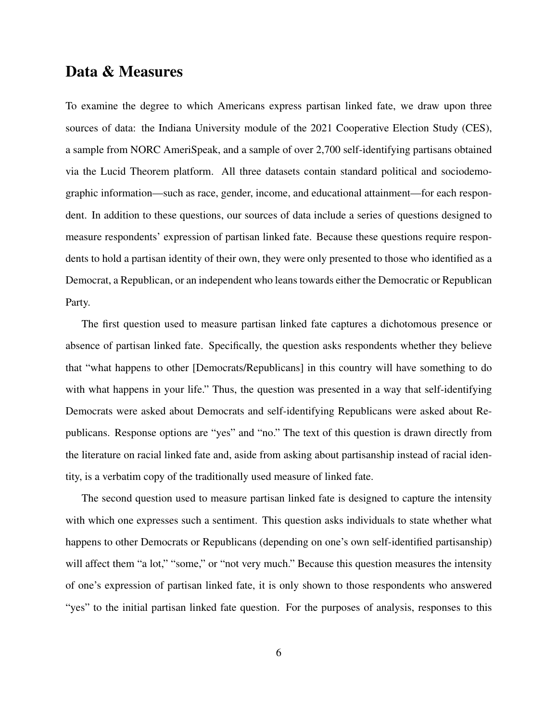## Data & Measures

To examine the degree to which Americans express partisan linked fate, we draw upon three sources of data: the Indiana University module of the 2021 Cooperative Election Study (CES), a sample from NORC AmeriSpeak, and a sample of over 2,700 self-identifying partisans obtained via the Lucid Theorem platform. All three datasets contain standard political and sociodemographic information—such as race, gender, income, and educational attainment—for each respondent. In addition to these questions, our sources of data include a series of questions designed to measure respondents' expression of partisan linked fate. Because these questions require respondents to hold a partisan identity of their own, they were only presented to those who identified as a Democrat, a Republican, or an independent who leans towards either the Democratic or Republican Party.

The first question used to measure partisan linked fate captures a dichotomous presence or absence of partisan linked fate. Specifically, the question asks respondents whether they believe that "what happens to other [Democrats/Republicans] in this country will have something to do with what happens in your life." Thus, the question was presented in a way that self-identifying Democrats were asked about Democrats and self-identifying Republicans were asked about Republicans. Response options are "yes" and "no." The text of this question is drawn directly from the literature on racial linked fate and, aside from asking about partisanship instead of racial identity, is a verbatim copy of the traditionally used measure of linked fate.

The second question used to measure partisan linked fate is designed to capture the intensity with which one expresses such a sentiment. This question asks individuals to state whether what happens to other Democrats or Republicans (depending on one's own self-identified partisanship) will affect them "a lot," "some," or "not very much." Because this question measures the intensity of one's expression of partisan linked fate, it is only shown to those respondents who answered "yes" to the initial partisan linked fate question. For the purposes of analysis, responses to this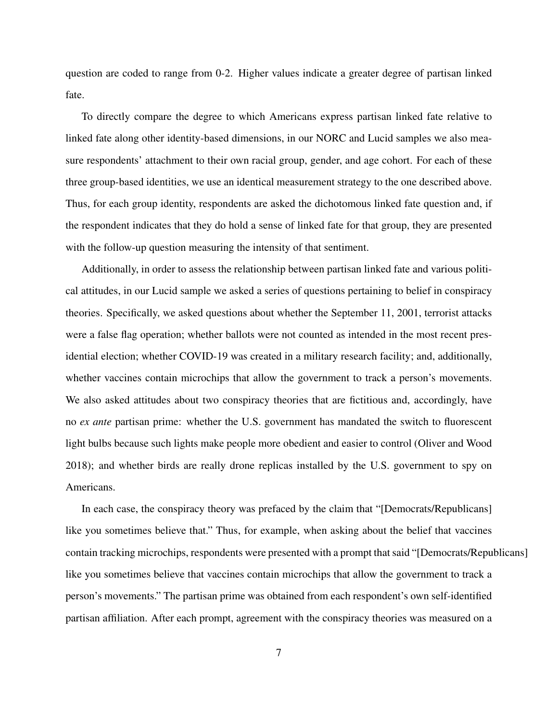question are coded to range from 0-2. Higher values indicate a greater degree of partisan linked fate.

To directly compare the degree to which Americans express partisan linked fate relative to linked fate along other identity-based dimensions, in our NORC and Lucid samples we also measure respondents' attachment to their own racial group, gender, and age cohort. For each of these three group-based identities, we use an identical measurement strategy to the one described above. Thus, for each group identity, respondents are asked the dichotomous linked fate question and, if the respondent indicates that they do hold a sense of linked fate for that group, they are presented with the follow-up question measuring the intensity of that sentiment.

Additionally, in order to assess the relationship between partisan linked fate and various political attitudes, in our Lucid sample we asked a series of questions pertaining to belief in conspiracy theories. Specifically, we asked questions about whether the September 11, 2001, terrorist attacks were a false flag operation; whether ballots were not counted as intended in the most recent presidential election; whether COVID-19 was created in a military research facility; and, additionally, whether vaccines contain microchips that allow the government to track a person's movements. We also asked attitudes about two conspiracy theories that are fictitious and, accordingly, have no *ex ante* partisan prime: whether the U.S. government has mandated the switch to fluorescent light bulbs because such lights make people more obedient and easier to control [\(Oliver and Wood](#page-23-8) [2018\)](#page-23-8); and whether birds are really drone replicas installed by the U.S. government to spy on Americans.

In each case, the conspiracy theory was prefaced by the claim that "[Democrats/Republicans] like you sometimes believe that." Thus, for example, when asking about the belief that vaccines contain tracking microchips, respondents were presented with a prompt that said "[Democrats/Republicans] like you sometimes believe that vaccines contain microchips that allow the government to track a person's movements." The partisan prime was obtained from each respondent's own self-identified partisan affiliation. After each prompt, agreement with the conspiracy theories was measured on a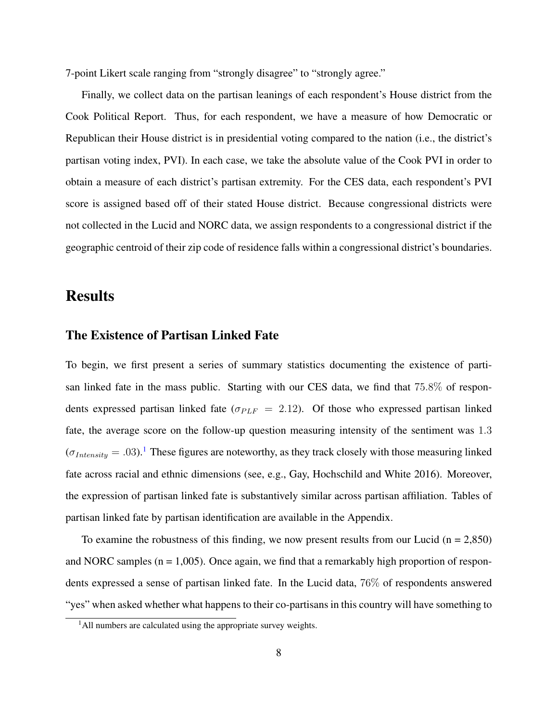7-point Likert scale ranging from "strongly disagree" to "strongly agree."

Finally, we collect data on the partisan leanings of each respondent's House district from the Cook Political Report. Thus, for each respondent, we have a measure of how Democratic or Republican their House district is in presidential voting compared to the nation (i.e., the district's partisan voting index, PVI). In each case, we take the absolute value of the Cook PVI in order to obtain a measure of each district's partisan extremity. For the CES data, each respondent's PVI score is assigned based off of their stated House district. Because congressional districts were not collected in the Lucid and NORC data, we assign respondents to a congressional district if the geographic centroid of their zip code of residence falls within a congressional district's boundaries.

### **Results**

#### The Existence of Partisan Linked Fate

To begin, we first present a series of summary statistics documenting the existence of partisan linked fate in the mass public. Starting with our CES data, we find that 75.8% of respondents expressed partisan linked fate ( $\sigma_{PLF}$  = 2.12). Of those who expressed partisan linked fate, the average score on the follow-up question measuring intensity of the sentiment was 1.3  $(\sigma_{Intensity} = .03).$ <sup>[1](#page-8-0)</sup> These figures are noteworthy, as they track closely with those measuring linked fate across racial and ethnic dimensions (see, e.g., [Gay, Hochschild and White](#page-21-8) [2016\)](#page-21-8). Moreover, the expression of partisan linked fate is substantively similar across partisan affiliation. Tables of partisan linked fate by partisan identification are available in the Appendix.

To examine the robustness of this finding, we now present results from our Lucid ( $n = 2,850$ ) and NORC samples ( $n = 1,005$ ). Once again, we find that a remarkably high proportion of respondents expressed a sense of partisan linked fate. In the Lucid data, 76% of respondents answered "yes" when asked whether what happens to their co-partisans in this country will have something to

<span id="page-8-0"></span><sup>&</sup>lt;sup>1</sup>All numbers are calculated using the appropriate survey weights.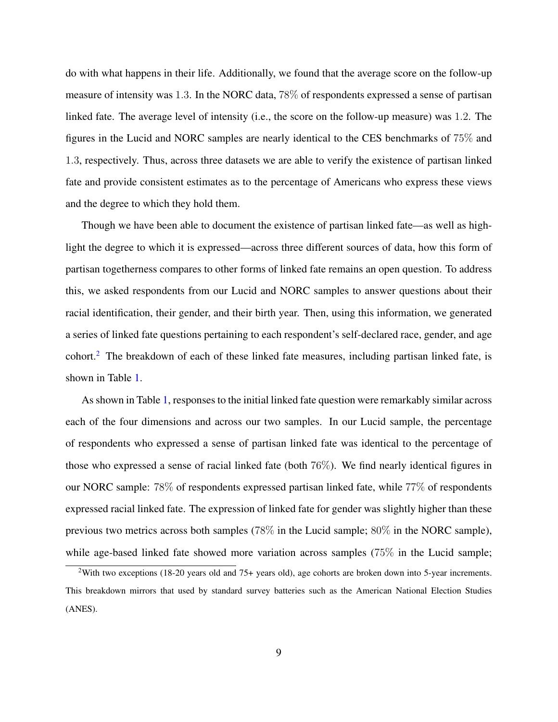do with what happens in their life. Additionally, we found that the average score on the follow-up measure of intensity was 1.3. In the NORC data, 78% of respondents expressed a sense of partisan linked fate. The average level of intensity (i.e., the score on the follow-up measure) was 1.2. The figures in the Lucid and NORC samples are nearly identical to the CES benchmarks of 75% and 1.3, respectively. Thus, across three datasets we are able to verify the existence of partisan linked fate and provide consistent estimates as to the percentage of Americans who express these views and the degree to which they hold them.

Though we have been able to document the existence of partisan linked fate—as well as highlight the degree to which it is expressed—across three different sources of data, how this form of partisan togetherness compares to other forms of linked fate remains an open question. To address this, we asked respondents from our Lucid and NORC samples to answer questions about their racial identification, their gender, and their birth year. Then, using this information, we generated a series of linked fate questions pertaining to each respondent's self-declared race, gender, and age cohort.[2](#page-9-0) The breakdown of each of these linked fate measures, including partisan linked fate, is shown in Table [1.](#page-10-0)

As shown in Table [1,](#page-10-0) responses to the initial linked fate question were remarkably similar across each of the four dimensions and across our two samples. In our Lucid sample, the percentage of respondents who expressed a sense of partisan linked fate was identical to the percentage of those who expressed a sense of racial linked fate (both 76%). We find nearly identical figures in our NORC sample: 78% of respondents expressed partisan linked fate, while 77% of respondents expressed racial linked fate. The expression of linked fate for gender was slightly higher than these previous two metrics across both samples (78% in the Lucid sample; 80% in the NORC sample), while age-based linked fate showed more variation across samples (75% in the Lucid sample;

<span id="page-9-0"></span><sup>&</sup>lt;sup>2</sup>With two exceptions (18-20 years old and 75+ years old), age cohorts are broken down into 5-year increments. This breakdown mirrors that used by standard survey batteries such as the American National Election Studies (ANES).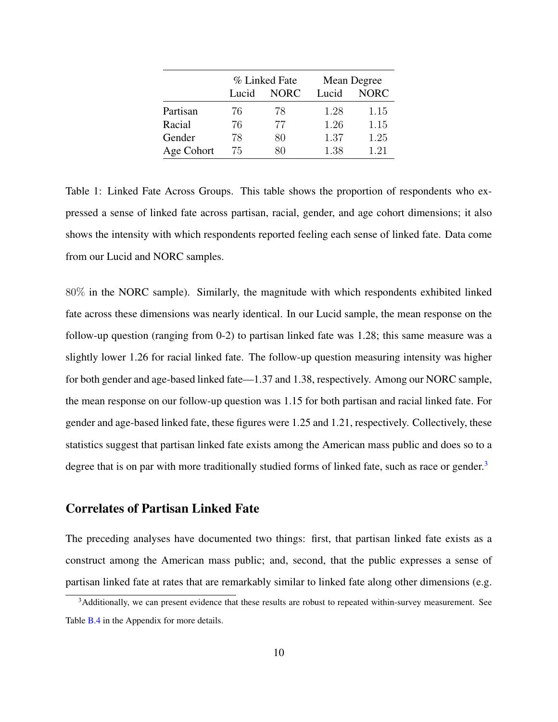<span id="page-10-0"></span>

|            |       | % Linked Fate | Mean Degree |             |  |
|------------|-------|---------------|-------------|-------------|--|
|            | Lucid | <b>NORC</b>   | Lucid       | <b>NORC</b> |  |
| Partisan   | 76    | 78            | 1.28        | 1.15        |  |
| Racial     | 76    | 77            | 1.26        | 1.15        |  |
| Gender     | 78    | 80            | 1.37        | 1.25        |  |
| Age Cohort | 75    | ጸበ            | 1.38        | 1.21        |  |

Table 1: Linked Fate Across Groups. This table shows the proportion of respondents who expressed a sense of linked fate across partisan, racial, gender, and age cohort dimensions; it also shows the intensity with which respondents reported feeling each sense of linked fate. Data come from our Lucid and NORC samples.

80% in the NORC sample). Similarly, the magnitude with which respondents exhibited linked fate across these dimensions was nearly identical. In our Lucid sample, the mean response on the follow-up question (ranging from 0-2) to partisan linked fate was 1.28; this same measure was a slightly lower 1.26 for racial linked fate. The follow-up question measuring intensity was higher for both gender and age-based linked fate—1.37 and 1.38, respectively. Among our NORC sample, the mean response on our follow-up question was 1.15 for both partisan and racial linked fate. For gender and age-based linked fate, these figures were 1.25 and 1.21, respectively. Collectively, these statistics suggest that partisan linked fate exists among the American mass public and does so to a degree that is on par with more traditionally studied forms of linked fate, such as race or gender.<sup>[3](#page-10-1)</sup>

### Correlates of Partisan Linked Fate

The preceding analyses have documented two things: first, that partisan linked fate exists as a construct among the American mass public; and, second, that the public expresses a sense of partisan linked fate at rates that are remarkably similar to linked fate along other dimensions (e.g.

<span id="page-10-1"></span><sup>&</sup>lt;sup>3</sup>Additionally, we can present evidence that these results are robust to repeated within-survey measurement. See Table **[B.4](#page-27-0)** in the Appendix for more details.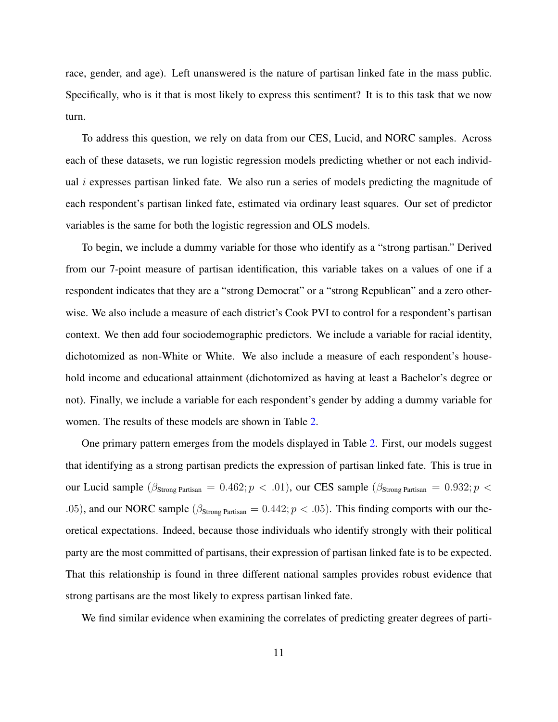race, gender, and age). Left unanswered is the nature of partisan linked fate in the mass public. Specifically, who is it that is most likely to express this sentiment? It is to this task that we now turn.

To address this question, we rely on data from our CES, Lucid, and NORC samples. Across each of these datasets, we run logistic regression models predicting whether or not each individual  $i$  expresses partisan linked fate. We also run a series of models predicting the magnitude of each respondent's partisan linked fate, estimated via ordinary least squares. Our set of predictor variables is the same for both the logistic regression and OLS models.

To begin, we include a dummy variable for those who identify as a "strong partisan." Derived from our 7-point measure of partisan identification, this variable takes on a values of one if a respondent indicates that they are a "strong Democrat" or a "strong Republican" and a zero otherwise. We also include a measure of each district's Cook PVI to control for a respondent's partisan context. We then add four sociodemographic predictors. We include a variable for racial identity, dichotomized as non-White or White. We also include a measure of each respondent's household income and educational attainment (dichotomized as having at least a Bachelor's degree or not). Finally, we include a variable for each respondent's gender by adding a dummy variable for women. The results of these models are shown in Table [2.](#page-12-0)

One primary pattern emerges from the models displayed in Table [2.](#page-12-0) First, our models suggest that identifying as a strong partisan predicts the expression of partisan linked fate. This is true in our Lucid sample ( $\beta_{\text{Strong Patisan}} = 0.462$ ;  $p < .01$ ), our CES sample ( $\beta_{\text{Strong Patisan}} = 0.932$ ;  $p <$ .05), and our NORC sample ( $\beta_{\text{Strong Partisan}} = 0.442$ ;  $p < .05$ ). This finding comports with our theoretical expectations. Indeed, because those individuals who identify strongly with their political party are the most committed of partisans, their expression of partisan linked fate is to be expected. That this relationship is found in three different national samples provides robust evidence that strong partisans are the most likely to express partisan linked fate.

We find similar evidence when examining the correlates of predicting greater degrees of parti-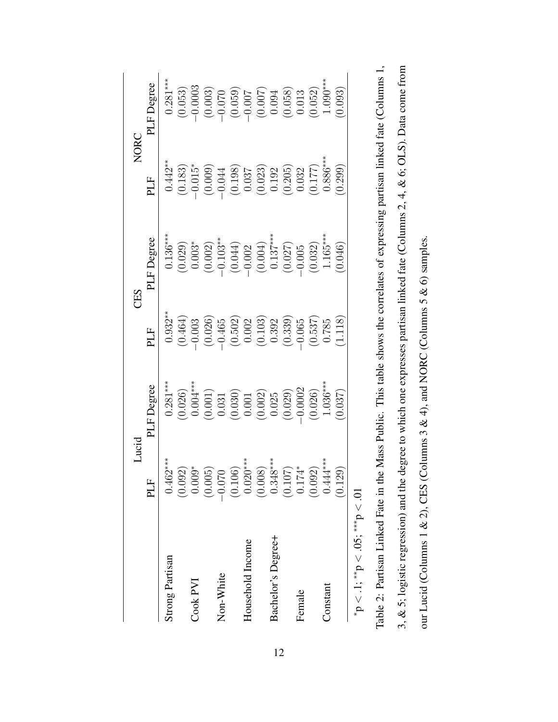<span id="page-12-0"></span>

|                                      | Lucid                                        |                                                                                                                                               |                                                                                                                                                               | CES                                                                                                                                                                                  |                                                                                                                                                                                                                                                                                                                        | <b>NORC</b>                                                                                                                                                                                                                                                                                                            |
|--------------------------------------|----------------------------------------------|-----------------------------------------------------------------------------------------------------------------------------------------------|---------------------------------------------------------------------------------------------------------------------------------------------------------------|--------------------------------------------------------------------------------------------------------------------------------------------------------------------------------------|------------------------------------------------------------------------------------------------------------------------------------------------------------------------------------------------------------------------------------------------------------------------------------------------------------------------|------------------------------------------------------------------------------------------------------------------------------------------------------------------------------------------------------------------------------------------------------------------------------------------------------------------------|
|                                      | PLF                                          | PLF Degree                                                                                                                                    | PLF                                                                                                                                                           | PLF Degree                                                                                                                                                                           | PLF                                                                                                                                                                                                                                                                                                                    | PLF Degree                                                                                                                                                                                                                                                                                                             |
| Strong Partisan                      | $0.462***$                                   | $0.281***$                                                                                                                                    | $0.932***$                                                                                                                                                    | $0.136***$                                                                                                                                                                           | $0.442**$                                                                                                                                                                                                                                                                                                              | $0.281***$                                                                                                                                                                                                                                                                                                             |
|                                      |                                              | $\begin{array}{c} (0.026) \\ 0.004^{***} \\ 0.001) \\ 0.031 \\ 0.030 \\ 0.001 \\ 0.001 \\ 0.002 \\ 0.025 \\ -0.002 \\ -0.0002 \\ \end{array}$ |                                                                                                                                                               | $\begin{array}{c} (0.029) \\ 0.003^* \\ (0.002) \\ (0.004) \\ (0.044) \\ (0.004) \\ (0.002) \\ (0.004) \\ (0.005) \\ (0.0137^{***} \\ -0.032) \\ (0.032) \\ 1.165^{***} \end{array}$ | $\begin{array}{c} (0.183) \\ -0.015^* \\ (0.009) \\ (0.0198) \\ -0.037 \\ (0.037) \\ (0.037) \\ (0.030) \\ (0.030) \\ (0.030) \\ (0.031) \\ (0.032) \\ (0.033) \\ (0.032) \\ (0.030) \\ (0.030) \\ (0.030) \\ (0.030) \\ (0.030) \\ (0.030) \\ (0.030) \\ (0.030) \\ (0.030) \\ (0.030) \\ (0.030) \\ (0.030) \\ (0.0$ | $\begin{array}{l} (0.053) \\ (0.0003) \\ (0.003) \\ (0.059) \\ (0.059) \\ (0.059) \\ (0.007) \\ (0.007) \\ (0.007) \\ (0.052) \\ (0.052) \\ (0.052) \\ (0.052) \\ (0.052) \\ (0.053) \\ (0.053) \\ (0.054) \\ (0.055) \\ (0.054) \\ (0.055) \\ (0.055) \\ (0.057) \\ (0.058) \\ (0.058) \\ (0.059) \\ (0.059) \\ (0.0$ |
| Cook PVI                             |                                              |                                                                                                                                               |                                                                                                                                                               |                                                                                                                                                                                      |                                                                                                                                                                                                                                                                                                                        |                                                                                                                                                                                                                                                                                                                        |
|                                      | $(0.092)$<br>0.009*<br>0.005)                |                                                                                                                                               | $\begin{array}{l} (0.464) \\ -0.003 \\ (0.026) \\ -0.6502 \\ (0.502) \\ 0.002 \\ (0.103) \\ (0.392) \\ -0.065 \\ (0.537) \\ -0.065 \\ (1.118) \\ \end{array}$ |                                                                                                                                                                                      |                                                                                                                                                                                                                                                                                                                        |                                                                                                                                                                                                                                                                                                                        |
| Non-White                            | $-0.070$                                     |                                                                                                                                               |                                                                                                                                                               |                                                                                                                                                                                      |                                                                                                                                                                                                                                                                                                                        |                                                                                                                                                                                                                                                                                                                        |
|                                      | $(0.106)$<br>0.020***                        |                                                                                                                                               |                                                                                                                                                               |                                                                                                                                                                                      |                                                                                                                                                                                                                                                                                                                        |                                                                                                                                                                                                                                                                                                                        |
| Household Income                     |                                              |                                                                                                                                               |                                                                                                                                                               |                                                                                                                                                                                      |                                                                                                                                                                                                                                                                                                                        |                                                                                                                                                                                                                                                                                                                        |
|                                      |                                              |                                                                                                                                               |                                                                                                                                                               |                                                                                                                                                                                      |                                                                                                                                                                                                                                                                                                                        |                                                                                                                                                                                                                                                                                                                        |
| Bachelor's Degree+                   |                                              |                                                                                                                                               |                                                                                                                                                               |                                                                                                                                                                                      |                                                                                                                                                                                                                                                                                                                        |                                                                                                                                                                                                                                                                                                                        |
|                                      | $(0.008)$<br>0.348***<br>$(0.107)$<br>0.174* |                                                                                                                                               |                                                                                                                                                               |                                                                                                                                                                                      |                                                                                                                                                                                                                                                                                                                        |                                                                                                                                                                                                                                                                                                                        |
| Female                               |                                              |                                                                                                                                               |                                                                                                                                                               |                                                                                                                                                                                      |                                                                                                                                                                                                                                                                                                                        |                                                                                                                                                                                                                                                                                                                        |
|                                      | (0.092)                                      | (0.026)                                                                                                                                       |                                                                                                                                                               |                                                                                                                                                                                      |                                                                                                                                                                                                                                                                                                                        |                                                                                                                                                                                                                                                                                                                        |
| Constant                             | $0.444***$                                   | $1.036***$                                                                                                                                    |                                                                                                                                                               |                                                                                                                                                                                      |                                                                                                                                                                                                                                                                                                                        | $1.090***$                                                                                                                                                                                                                                                                                                             |
|                                      | (0.129)                                      | (0.037)                                                                                                                                       |                                                                                                                                                               | (0.046)                                                                                                                                                                              | (0.299)                                                                                                                                                                                                                                                                                                                | (0.093)                                                                                                                                                                                                                                                                                                                |
| $p < 1$ ; **p $< .05$ ; ***p $< .01$ |                                              |                                                                                                                                               |                                                                                                                                                               |                                                                                                                                                                                      |                                                                                                                                                                                                                                                                                                                        |                                                                                                                                                                                                                                                                                                                        |
|                                      |                                              |                                                                                                                                               |                                                                                                                                                               |                                                                                                                                                                                      |                                                                                                                                                                                                                                                                                                                        |                                                                                                                                                                                                                                                                                                                        |

| Table 2: Partisan Linked Fate in the Mass Public. This table shows the correlates of expressing partisan linked fate (Columns 1, | 3, & 5; logistic regression) and the degree to which one expresses partisan linked fate (Columns 2, 4, & 6; OLS). Data come from | our Lucid (Columns 1 & 2), CES (Columns 3 & 4), and NORC (Columns 5 & 6) samples. |
|----------------------------------------------------------------------------------------------------------------------------------|----------------------------------------------------------------------------------------------------------------------------------|-----------------------------------------------------------------------------------|
|                                                                                                                                  |                                                                                                                                  |                                                                                   |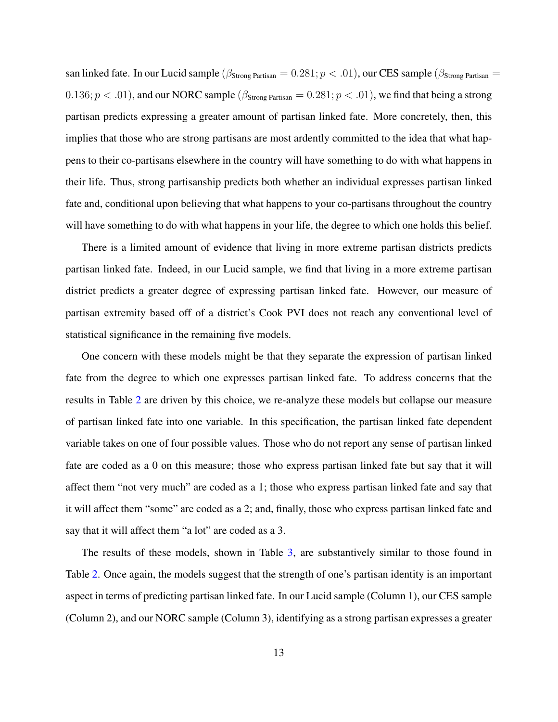san linked fate. In our Lucid sample ( $\beta_{\text{Strong Patisan}} = 0.281; p < .01$ ), our CES sample ( $\beta_{\text{Strong Patisan}} =$ 0.136;  $p < .01$ ), and our NORC sample ( $\beta_{\text{Strone Partisan}} = 0.281$ ;  $p < .01$ ), we find that being a strong partisan predicts expressing a greater amount of partisan linked fate. More concretely, then, this implies that those who are strong partisans are most ardently committed to the idea that what happens to their co-partisans elsewhere in the country will have something to do with what happens in their life. Thus, strong partisanship predicts both whether an individual expresses partisan linked fate and, conditional upon believing that what happens to your co-partisans throughout the country will have something to do with what happens in your life, the degree to which one holds this belief.

There is a limited amount of evidence that living in more extreme partisan districts predicts partisan linked fate. Indeed, in our Lucid sample, we find that living in a more extreme partisan district predicts a greater degree of expressing partisan linked fate. However, our measure of partisan extremity based off of a district's Cook PVI does not reach any conventional level of statistical significance in the remaining five models.

One concern with these models might be that they separate the expression of partisan linked fate from the degree to which one expresses partisan linked fate. To address concerns that the results in Table [2](#page-12-0) are driven by this choice, we re-analyze these models but collapse our measure of partisan linked fate into one variable. In this specification, the partisan linked fate dependent variable takes on one of four possible values. Those who do not report any sense of partisan linked fate are coded as a 0 on this measure; those who express partisan linked fate but say that it will affect them "not very much" are coded as a 1; those who express partisan linked fate and say that it will affect them "some" are coded as a 2; and, finally, those who express partisan linked fate and say that it will affect them "a lot" are coded as a 3.

The results of these models, shown in Table [3,](#page-14-0) are substantively similar to those found in Table [2.](#page-12-0) Once again, the models suggest that the strength of one's partisan identity is an important aspect in terms of predicting partisan linked fate. In our Lucid sample (Column 1), our CES sample (Column 2), and our NORC sample (Column 3), identifying as a strong partisan expresses a greater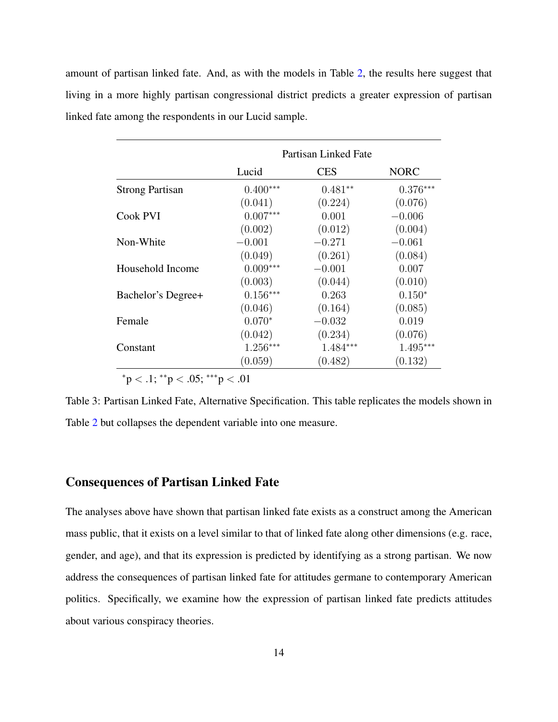amount of partisan linked fate. And, as with the models in Table [2,](#page-12-0) the results here suggest that living in a more highly partisan congressional district predicts a greater expression of partisan linked fate among the respondents in our Lucid sample.

<span id="page-14-0"></span>

|                        |            | Partisan Linked Fate |             |
|------------------------|------------|----------------------|-------------|
|                        | Lucid      | <b>CES</b>           | <b>NORC</b> |
| <b>Strong Partisan</b> | $0.400***$ | $0.481**$            | $0.376***$  |
|                        | (0.041)    | (0.224)              | (0.076)     |
| Cook PVI               | $0.007***$ | 0.001                | $-0.006$    |
|                        | (0.002)    | (0.012)              | (0.004)     |
| Non-White              | $-0.001$   | $-0.271$             | $-0.061$    |
|                        | (0.049)    | (0.261)              | (0.084)     |
| Household Income       | $0.009***$ | $-0.001$             | 0.007       |
|                        | (0.003)    | (0.044)              | (0.010)     |
| Bachelor's Degree+     | $0.156***$ | 0.263                | $0.150*$    |
|                        | (0.046)    | (0.164)              | (0.085)     |
| Female                 | $0.070*$   | $-0.032$             | 0.019       |
|                        | (0.042)    | (0.234)              | (0.076)     |
| Constant               | $1.256***$ | 1.484***             | 1.495***    |
|                        | (0.059)    | (0.482)              | (0.132)     |

 $*p < .1; **p < .05; **p < .01$ 

Table 3: Partisan Linked Fate, Alternative Specification. This table replicates the models shown in Table [2](#page-12-0) but collapses the dependent variable into one measure.

#### Consequences of Partisan Linked Fate

The analyses above have shown that partisan linked fate exists as a construct among the American mass public, that it exists on a level similar to that of linked fate along other dimensions (e.g. race, gender, and age), and that its expression is predicted by identifying as a strong partisan. We now address the consequences of partisan linked fate for attitudes germane to contemporary American politics. Specifically, we examine how the expression of partisan linked fate predicts attitudes about various conspiracy theories.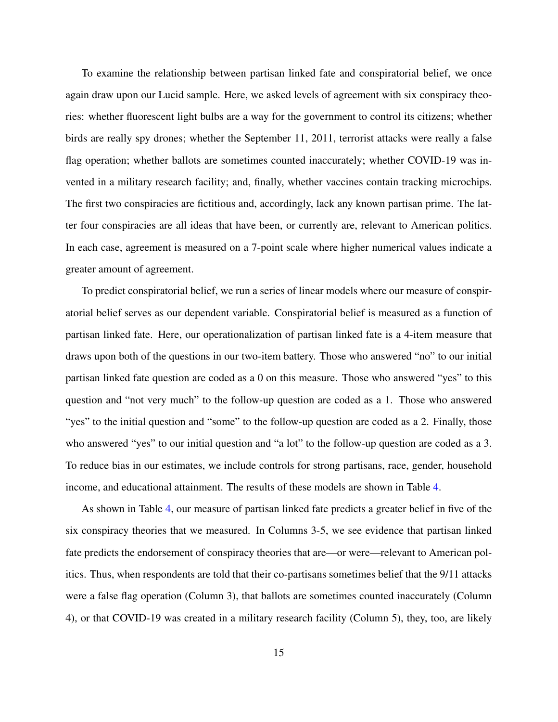To examine the relationship between partisan linked fate and conspiratorial belief, we once again draw upon our Lucid sample. Here, we asked levels of agreement with six conspiracy theories: whether fluorescent light bulbs are a way for the government to control its citizens; whether birds are really spy drones; whether the September 11, 2011, terrorist attacks were really a false flag operation; whether ballots are sometimes counted inaccurately; whether COVID-19 was invented in a military research facility; and, finally, whether vaccines contain tracking microchips. The first two conspiracies are fictitious and, accordingly, lack any known partisan prime. The latter four conspiracies are all ideas that have been, or currently are, relevant to American politics. In each case, agreement is measured on a 7-point scale where higher numerical values indicate a greater amount of agreement.

To predict conspiratorial belief, we run a series of linear models where our measure of conspiratorial belief serves as our dependent variable. Conspiratorial belief is measured as a function of partisan linked fate. Here, our operationalization of partisan linked fate is a 4-item measure that draws upon both of the questions in our two-item battery. Those who answered "no" to our initial partisan linked fate question are coded as a 0 on this measure. Those who answered "yes" to this question and "not very much" to the follow-up question are coded as a 1. Those who answered "yes" to the initial question and "some" to the follow-up question are coded as a 2. Finally, those who answered "yes" to our initial question and "a lot" to the follow-up question are coded as a 3. To reduce bias in our estimates, we include controls for strong partisans, race, gender, household income, and educational attainment. The results of these models are shown in Table [4.](#page-17-0)

As shown in Table [4,](#page-17-0) our measure of partisan linked fate predicts a greater belief in five of the six conspiracy theories that we measured. In Columns 3-5, we see evidence that partisan linked fate predicts the endorsement of conspiracy theories that are—or were—relevant to American politics. Thus, when respondents are told that their co-partisans sometimes belief that the 9/11 attacks were a false flag operation (Column 3), that ballots are sometimes counted inaccurately (Column 4), or that COVID-19 was created in a military research facility (Column 5), they, too, are likely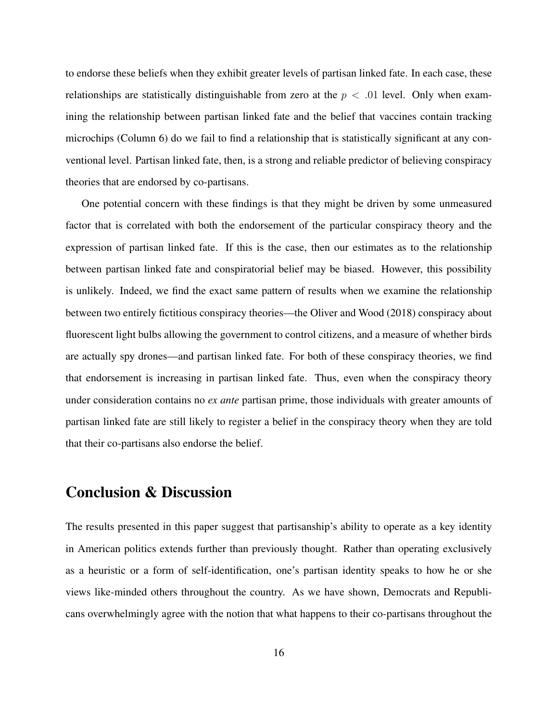to endorse these beliefs when they exhibit greater levels of partisan linked fate. In each case, these relationships are statistically distinguishable from zero at the  $p < .01$  level. Only when examining the relationship between partisan linked fate and the belief that vaccines contain tracking microchips (Column 6) do we fail to find a relationship that is statistically significant at any conventional level. Partisan linked fate, then, is a strong and reliable predictor of believing conspiracy theories that are endorsed by co-partisans.

One potential concern with these findings is that they might be driven by some unmeasured factor that is correlated with both the endorsement of the particular conspiracy theory and the expression of partisan linked fate. If this is the case, then our estimates as to the relationship between partisan linked fate and conspiratorial belief may be biased. However, this possibility is unlikely. Indeed, we find the exact same pattern of results when we examine the relationship between two entirely fictitious conspiracy theories—the [Oliver and Wood](#page-23-8) [\(2018\)](#page-23-8) conspiracy about fluorescent light bulbs allowing the government to control citizens, and a measure of whether birds are actually spy drones—and partisan linked fate. For both of these conspiracy theories, we find that endorsement is increasing in partisan linked fate. Thus, even when the conspiracy theory under consideration contains no *ex ante* partisan prime, those individuals with greater amounts of partisan linked fate are still likely to register a belief in the conspiracy theory when they are told that their co-partisans also endorse the belief.

### Conclusion & Discussion

The results presented in this paper suggest that partisanship's ability to operate as a key identity in American politics extends further than previously thought. Rather than operating exclusively as a heuristic or a form of self-identification, one's partisan identity speaks to how he or she views like-minded others throughout the country. As we have shown, Democrats and Republicans overwhelmingly agree with the notion that what happens to their co-partisans throughout the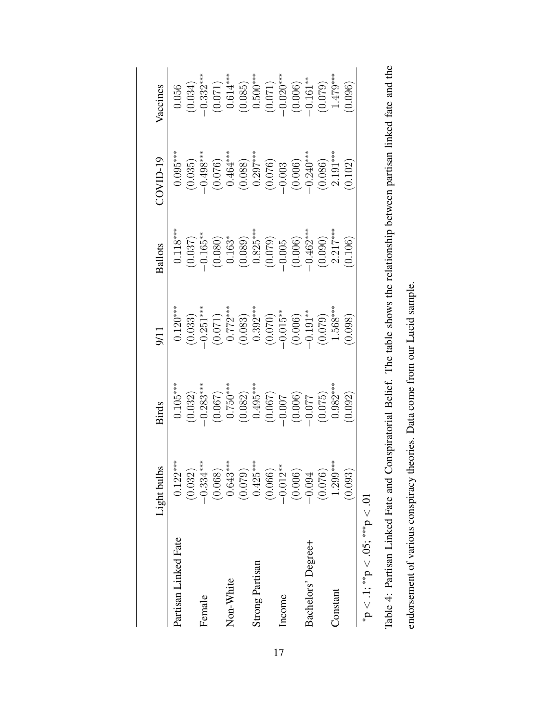<span id="page-17-0"></span>

|                                                                            | Light bulbs                       | <b>Birds</b>                                                                                                                                                                                                                                                                                                    | 9/11                                                                                                                                                                                                                                                                                                                                        | <b>Ballots</b>                                                                                                | $20$ VID-19                                                                                                                                                                                           | Vaccines                                                                                                                                                                                      |
|----------------------------------------------------------------------------|-----------------------------------|-----------------------------------------------------------------------------------------------------------------------------------------------------------------------------------------------------------------------------------------------------------------------------------------------------------------|---------------------------------------------------------------------------------------------------------------------------------------------------------------------------------------------------------------------------------------------------------------------------------------------------------------------------------------------|---------------------------------------------------------------------------------------------------------------|-------------------------------------------------------------------------------------------------------------------------------------------------------------------------------------------------------|-----------------------------------------------------------------------------------------------------------------------------------------------------------------------------------------------|
| Partisan Linked Fate                                                       | $0.122***$                        | $0.105***$                                                                                                                                                                                                                                                                                                      |                                                                                                                                                                                                                                                                                                                                             |                                                                                                               | $0.095***$                                                                                                                                                                                            | 0.056                                                                                                                                                                                         |
|                                                                            | (0.032)                           |                                                                                                                                                                                                                                                                                                                 |                                                                                                                                                                                                                                                                                                                                             |                                                                                                               |                                                                                                                                                                                                       |                                                                                                                                                                                               |
| Female                                                                     | $-0.334***$                       |                                                                                                                                                                                                                                                                                                                 |                                                                                                                                                                                                                                                                                                                                             |                                                                                                               |                                                                                                                                                                                                       |                                                                                                                                                                                               |
|                                                                            | (0.068)                           | $\begin{array}{l} (0.032) \\ -0.283^{***} \\ (0.067) \\ 0.750^{***} \\ (0.082) \\ 0.495^{***} \\ (0.067) \\ -0.007 \\ -0.007 \\ 0.075 \\ 0.075 \\ 0.006 \\ 0.075 \\ 0.006 \\ 0.007 \\ 0.007 \\ 0.000 \\ 0.000 \\ 0.000 \\ 0.000 \\ 0.000 \\ 0.000 \\ 0.000 \\ 0.000 \\ 0.000 \\ 0.000 \\ 0.000 \\ 0.000 \\ 0.0$ | $\begin{array}{c} 0.120^{***} \\ (0.033) \\ -0.251^{***} \\ (0.071) \\ (0.071) \\ (0.083) \\ (0.083) \\ (0.070) \\ (0.006) \\ (-0.015^{**} \\ (-0.006) \\ (-0.007) \\ (-0.007) \\ (-0.007) \\ (-0.007) \\ (-0.007) \\ (-0.007) \\ (-0.007) \\ (-0.007) \\ (-0.007) \\ (-0.007) \\ (-0.007) \\ (-0.007) \\ (-0.007) \\ (-0.007) \\ (-0.007)$ | 0.118***<br>(0.037)<br>(0.037)<br>(0.080)<br>(0.089)<br>(0.065)<br>(0.005)<br>(0.006)<br>(0.006)<br>(0.007*** | $\begin{array}{c} (0.035) \\ -0.498^{***} \\ (0.076) \\ 0.464^{***} \\ (0.088) \\ (0.089) \\ (0.076) \\ -0.003 \\ (0.006) \\ -0.006) \\ (0.006) \\ (0.006) \\ 2.191^{***} \\ 2.191^{***} \end{array}$ | $\begin{array}{c} (0.034) \\ -0.332^{***} \\ (0.071) \\ 0.614^{***} \\ (0.085) \\ (0.085) \\ -0.500^{***} \\ (0.071) \\ -0.020^{***} \\ (0.006) \\ -0.161^{**} \\ 1.479^{***} \\ \end{array}$ |
| Non-White                                                                  | $0.643***$                        |                                                                                                                                                                                                                                                                                                                 |                                                                                                                                                                                                                                                                                                                                             |                                                                                                               |                                                                                                                                                                                                       |                                                                                                                                                                                               |
|                                                                            | (0.079)                           |                                                                                                                                                                                                                                                                                                                 |                                                                                                                                                                                                                                                                                                                                             |                                                                                                               |                                                                                                                                                                                                       |                                                                                                                                                                                               |
| <b>Strong Partisan</b>                                                     |                                   |                                                                                                                                                                                                                                                                                                                 |                                                                                                                                                                                                                                                                                                                                             |                                                                                                               |                                                                                                                                                                                                       |                                                                                                                                                                                               |
|                                                                            | $0.425***$<br>(0.066)<br>-0.012** |                                                                                                                                                                                                                                                                                                                 |                                                                                                                                                                                                                                                                                                                                             |                                                                                                               |                                                                                                                                                                                                       |                                                                                                                                                                                               |
| Income                                                                     |                                   |                                                                                                                                                                                                                                                                                                                 |                                                                                                                                                                                                                                                                                                                                             |                                                                                                               |                                                                                                                                                                                                       |                                                                                                                                                                                               |
|                                                                            | (0.006)                           |                                                                                                                                                                                                                                                                                                                 |                                                                                                                                                                                                                                                                                                                                             |                                                                                                               |                                                                                                                                                                                                       |                                                                                                                                                                                               |
| Bachelors' Degree+                                                         | $-0.094$                          |                                                                                                                                                                                                                                                                                                                 |                                                                                                                                                                                                                                                                                                                                             |                                                                                                               |                                                                                                                                                                                                       |                                                                                                                                                                                               |
|                                                                            | (0.076)                           |                                                                                                                                                                                                                                                                                                                 |                                                                                                                                                                                                                                                                                                                                             |                                                                                                               |                                                                                                                                                                                                       |                                                                                                                                                                                               |
| Constant                                                                   | $1.299***$                        |                                                                                                                                                                                                                                                                                                                 |                                                                                                                                                                                                                                                                                                                                             |                                                                                                               |                                                                                                                                                                                                       |                                                                                                                                                                                               |
|                                                                            | (0.093)                           | (0.092)                                                                                                                                                                                                                                                                                                         | (0.098)                                                                                                                                                                                                                                                                                                                                     | (0.106)                                                                                                       | (0.102)                                                                                                                                                                                               | (0.096)                                                                                                                                                                                       |
| ${}^{*}\mathsf{p} < .1; {}^{**}\mathsf{p} < .05; {}^{***}\mathsf{p} < .01$ |                                   |                                                                                                                                                                                                                                                                                                                 |                                                                                                                                                                                                                                                                                                                                             |                                                                                                               |                                                                                                                                                                                                       |                                                                                                                                                                                               |

| Conspiratorial Belief. The table shows the relationship between partisan linked fate and the |                                                                                         |
|----------------------------------------------------------------------------------------------|-----------------------------------------------------------------------------------------|
|                                                                                              |                                                                                         |
|                                                                                              | $\frac{1}{2}$                                                                           |
|                                                                                              | יי אנטער בטר                                                                            |
|                                                                                              | control limit limit and the force control of the limit limit limit<br>23. Data como nol |
|                                                                                              |                                                                                         |
| us else peziuli l<br>$-1$                                                                    | くく ここくさくさい                                                                              |
| $\frac{4}{5}$                                                                                |                                                                                         |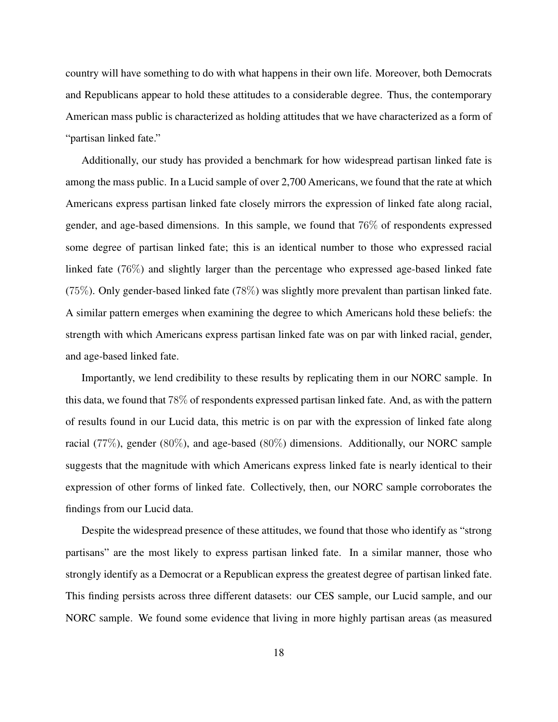country will have something to do with what happens in their own life. Moreover, both Democrats and Republicans appear to hold these attitudes to a considerable degree. Thus, the contemporary American mass public is characterized as holding attitudes that we have characterized as a form of "partisan linked fate."

Additionally, our study has provided a benchmark for how widespread partisan linked fate is among the mass public. In a Lucid sample of over 2,700 Americans, we found that the rate at which Americans express partisan linked fate closely mirrors the expression of linked fate along racial, gender, and age-based dimensions. In this sample, we found that 76% of respondents expressed some degree of partisan linked fate; this is an identical number to those who expressed racial linked fate (76%) and slightly larger than the percentage who expressed age-based linked fate (75%). Only gender-based linked fate (78%) was slightly more prevalent than partisan linked fate. A similar pattern emerges when examining the degree to which Americans hold these beliefs: the strength with which Americans express partisan linked fate was on par with linked racial, gender, and age-based linked fate.

Importantly, we lend credibility to these results by replicating them in our NORC sample. In this data, we found that 78% of respondents expressed partisan linked fate. And, as with the pattern of results found in our Lucid data, this metric is on par with the expression of linked fate along racial (77%), gender (80%), and age-based (80%) dimensions. Additionally, our NORC sample suggests that the magnitude with which Americans express linked fate is nearly identical to their expression of other forms of linked fate. Collectively, then, our NORC sample corroborates the findings from our Lucid data.

Despite the widespread presence of these attitudes, we found that those who identify as "strong partisans" are the most likely to express partisan linked fate. In a similar manner, those who strongly identify as a Democrat or a Republican express the greatest degree of partisan linked fate. This finding persists across three different datasets: our CES sample, our Lucid sample, and our NORC sample. We found some evidence that living in more highly partisan areas (as measured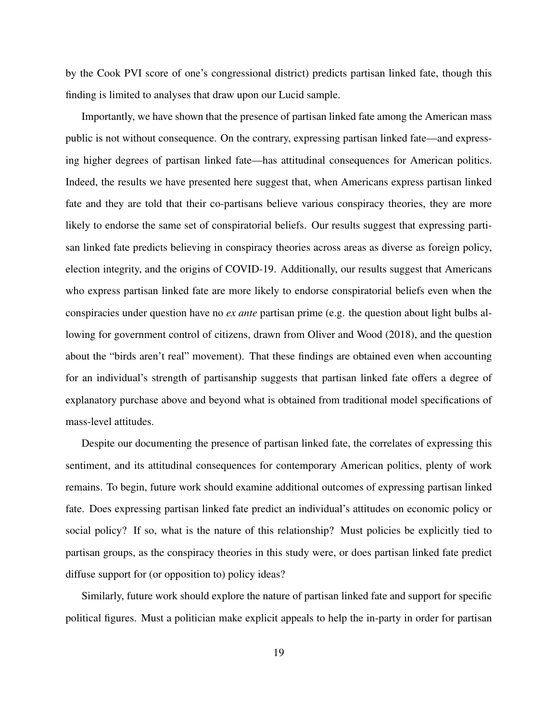by the Cook PVI score of one's congressional district) predicts partisan linked fate, though this finding is limited to analyses that draw upon our Lucid sample.

Importantly, we have shown that the presence of partisan linked fate among the American mass public is not without consequence. On the contrary, expressing partisan linked fate—and expressing higher degrees of partisan linked fate—has attitudinal consequences for American politics. Indeed, the results we have presented here suggest that, when Americans express partisan linked fate and they are told that their co-partisans believe various conspiracy theories, they are more likely to endorse the same set of conspiratorial beliefs. Our results suggest that expressing partisan linked fate predicts believing in conspiracy theories across areas as diverse as foreign policy, election integrity, and the origins of COVID-19. Additionally, our results suggest that Americans who express partisan linked fate are more likely to endorse conspiratorial beliefs even when the conspiracies under question have no *ex ante* partisan prime (e.g. the question about light bulbs allowing for government control of citizens, drawn from [Oliver and Wood](#page-23-8) [\(2018\)](#page-23-8), and the question about the "birds aren't real" movement). That these findings are obtained even when accounting for an individual's strength of partisanship suggests that partisan linked fate offers a degree of explanatory purchase above and beyond what is obtained from traditional model specifications of mass-level attitudes.

Despite our documenting the presence of partisan linked fate, the correlates of expressing this sentiment, and its attitudinal consequences for contemporary American politics, plenty of work remains. To begin, future work should examine additional outcomes of expressing partisan linked fate. Does expressing partisan linked fate predict an individual's attitudes on economic policy or social policy? If so, what is the nature of this relationship? Must policies be explicitly tied to partisan groups, as the conspiracy theories in this study were, or does partisan linked fate predict diffuse support for (or opposition to) policy ideas?

Similarly, future work should explore the nature of partisan linked fate and support for specific political figures. Must a politician make explicit appeals to help the in-party in order for partisan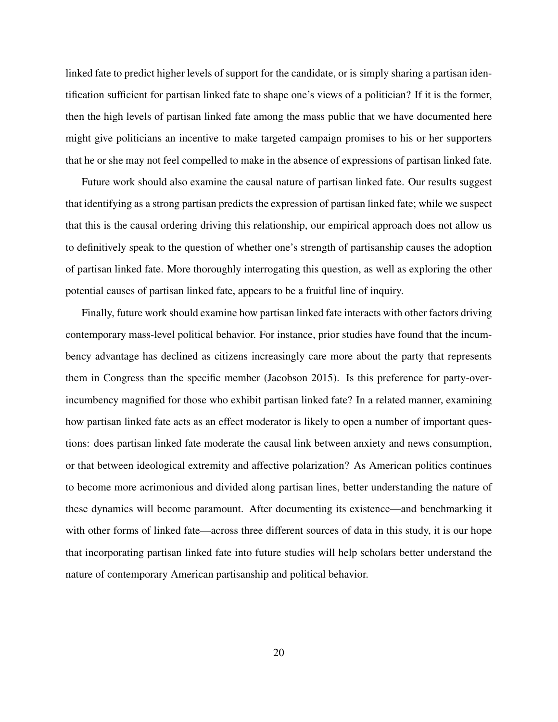linked fate to predict higher levels of support for the candidate, or is simply sharing a partisan identification sufficient for partisan linked fate to shape one's views of a politician? If it is the former, then the high levels of partisan linked fate among the mass public that we have documented here might give politicians an incentive to make targeted campaign promises to his or her supporters that he or she may not feel compelled to make in the absence of expressions of partisan linked fate.

Future work should also examine the causal nature of partisan linked fate. Our results suggest that identifying as a strong partisan predicts the expression of partisan linked fate; while we suspect that this is the causal ordering driving this relationship, our empirical approach does not allow us to definitively speak to the question of whether one's strength of partisanship causes the adoption of partisan linked fate. More thoroughly interrogating this question, as well as exploring the other potential causes of partisan linked fate, appears to be a fruitful line of inquiry.

Finally, future work should examine how partisan linked fate interacts with other factors driving contemporary mass-level political behavior. For instance, prior studies have found that the incumbency advantage has declined as citizens increasingly care more about the party that represents them in Congress than the specific member [\(Jacobson](#page-22-9) [2015\)](#page-22-9). Is this preference for party-overincumbency magnified for those who exhibit partisan linked fate? In a related manner, examining how partisan linked fate acts as an effect moderator is likely to open a number of important questions: does partisan linked fate moderate the causal link between anxiety and news consumption, or that between ideological extremity and affective polarization? As American politics continues to become more acrimonious and divided along partisan lines, better understanding the nature of these dynamics will become paramount. After documenting its existence—and benchmarking it with other forms of linked fate—across three different sources of data in this study, it is our hope that incorporating partisan linked fate into future studies will help scholars better understand the nature of contemporary American partisanship and political behavior.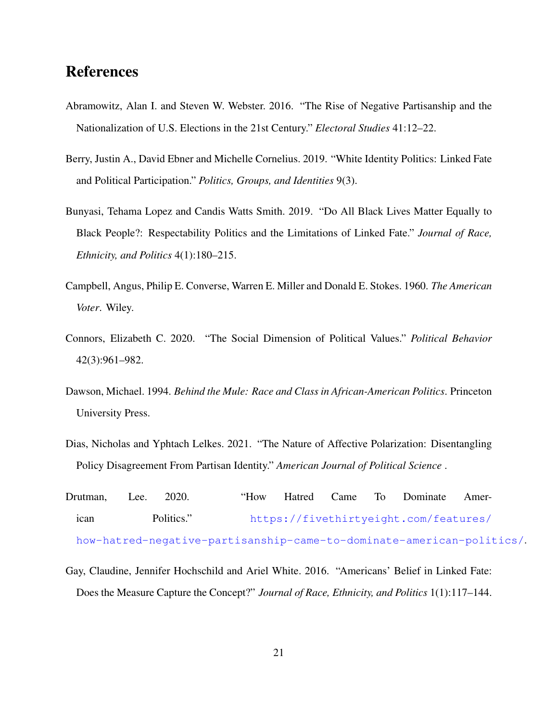### References

- <span id="page-21-2"></span>Abramowitz, Alan I. and Steven W. Webster. 2016. "The Rise of Negative Partisanship and the Nationalization of U.S. Elections in the 21st Century." *Electoral Studies* 41:12–22.
- <span id="page-21-6"></span>Berry, Justin A., David Ebner and Michelle Cornelius. 2019. "White Identity Politics: Linked Fate and Political Participation." *Politics, Groups, and Identities* 9(3).
- <span id="page-21-5"></span>Bunyasi, Tehama Lopez and Candis Watts Smith. 2019. "Do All Black Lives Matter Equally to Black People?: Respectability Politics and the Limitations of Linked Fate." *Journal of Race, Ethnicity, and Politics* 4(1):180–215.
- <span id="page-21-0"></span>Campbell, Angus, Philip E. Converse, Warren E. Miller and Donald E. Stokes. 1960. *The American Voter*. Wiley.
- <span id="page-21-7"></span>Connors, Elizabeth C. 2020. "The Social Dimension of Political Values." *Political Behavior* 42(3):961–982.
- <span id="page-21-4"></span>Dawson, Michael. 1994. *Behind the Mule: Race and Class in African-American Politics*. Princeton University Press.
- <span id="page-21-1"></span>Dias, Nicholas and Yphtach Lelkes. 2021. "The Nature of Affective Polarization: Disentangling Policy Disagreement From Partisan Identity." *American Journal of Political Science* .
- <span id="page-21-3"></span>Drutman, Lee. 2020. "How Hatred Came To Dominate American Politics." [https://fivethirtyeight.com/features/](https://fivethirtyeight.com/features/how-hatred-negative-partisanship-came-to-dominate-american-politics/) [how-hatred-negative-partisanship-came-to-dominate-american-politics/](https://fivethirtyeight.com/features/how-hatred-negative-partisanship-came-to-dominate-american-politics/).
- <span id="page-21-8"></span>Gay, Claudine, Jennifer Hochschild and Ariel White. 2016. "Americans' Belief in Linked Fate: Does the Measure Capture the Concept?" *Journal of Race, Ethnicity, and Politics* 1(1):117–144.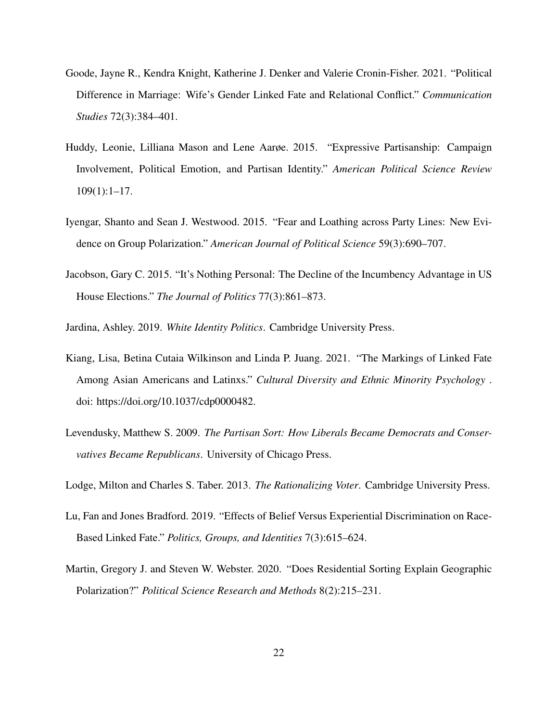- <span id="page-22-5"></span>Goode, Jayne R., Kendra Knight, Katherine J. Denker and Valerie Cronin-Fisher. 2021. "Political Difference in Marriage: Wife's Gender Linked Fate and Relational Conflict." *Communication Studies* 72(3):384–401.
- <span id="page-22-6"></span>Huddy, Leonie, Lilliana Mason and Lene Aarøe. 2015. "Expressive Partisanship: Campaign Involvement, Political Emotion, and Partisan Identity." *American Political Science Review* 109(1):1–17.
- <span id="page-22-0"></span>Iyengar, Shanto and Sean J. Westwood. 2015. "Fear and Loathing across Party Lines: New Evidence on Group Polarization." *American Journal of Political Science* 59(3):690–707.
- <span id="page-22-9"></span>Jacobson, Gary C. 2015. "It's Nothing Personal: The Decline of the Incumbency Advantage in US House Elections." *The Journal of Politics* 77(3):861–873.
- <span id="page-22-4"></span>Jardina, Ashley. 2019. *White Identity Politics*. Cambridge University Press.
- <span id="page-22-3"></span>Kiang, Lisa, Betina Cutaia Wilkinson and Linda P. Juang. 2021. "The Markings of Linked Fate Among Asian Americans and Latinxs." *Cultural Diversity and Ethnic Minority Psychology* . doi: https://doi.org/10.1037/cdp0000482.
- <span id="page-22-1"></span>Levendusky, Matthew S. 2009. *The Partisan Sort: How Liberals Became Democrats and Conservatives Became Republicans*. University of Chicago Press.

<span id="page-22-7"></span>Lodge, Milton and Charles S. Taber. 2013. *The Rationalizing Voter*. Cambridge University Press.

- <span id="page-22-2"></span>Lu, Fan and Jones Bradford. 2019. "Effects of Belief Versus Experiential Discrimination on Race-Based Linked Fate." *Politics, Groups, and Identities* 7(3):615–624.
- <span id="page-22-8"></span>Martin, Gregory J. and Steven W. Webster. 2020. "Does Residential Sorting Explain Geographic Polarization?" *Political Science Research and Methods* 8(2):215–231.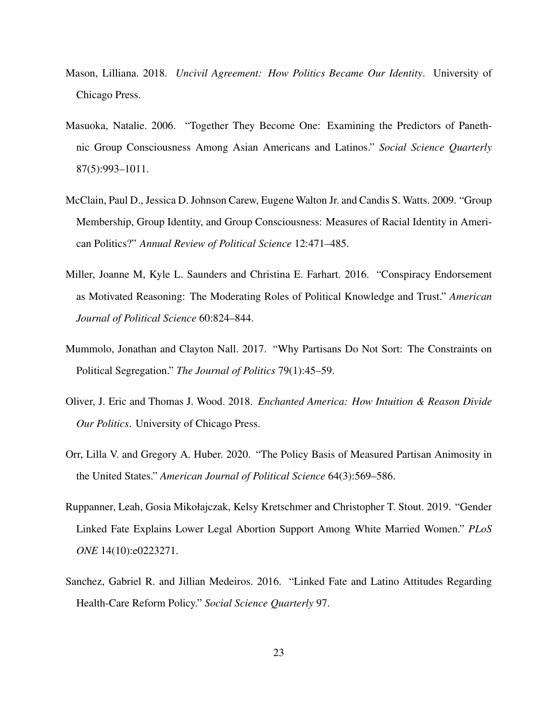- <span id="page-23-0"></span>Mason, Lilliana. 2018. *Uncivil Agreement: How Politics Became Our Identity*. University of Chicago Press.
- <span id="page-23-3"></span>Masuoka, Natalie. 2006. "Together They Become One: Examining the Predictors of Panethnic Group Consciousness Among Asian Americans and Latinos." *Social Science Quarterly* 87(5):993–1011.
- <span id="page-23-4"></span>McClain, Paul D., Jessica D. Johnson Carew, Eugene Walton Jr. and Candis S. Watts. 2009. "Group Membership, Group Identity, and Group Consciousness: Measures of Racial Identity in American Politics?" *Annual Review of Political Science* 12:471–485.
- <span id="page-23-6"></span>Miller, Joanne M, Kyle L. Saunders and Christina E. Farhart. 2016. "Conspiracy Endorsement as Motivated Reasoning: The Moderating Roles of Political Knowledge and Trust." *American Journal of Political Science* 60:824–844.
- <span id="page-23-7"></span>Mummolo, Jonathan and Clayton Nall. 2017. "Why Partisans Do Not Sort: The Constraints on Political Segregation." *The Journal of Politics* 79(1):45–59.
- <span id="page-23-8"></span>Oliver, J. Eric and Thomas J. Wood. 2018. *Enchanted America: How Intuition & Reason Divide Our Politics*. University of Chicago Press.
- <span id="page-23-1"></span>Orr, Lilla V. and Gregory A. Huber. 2020. "The Policy Basis of Measured Partisan Animosity in the United States." *American Journal of Political Science* 64(3):569–586.
- <span id="page-23-5"></span>Ruppanner, Leah, Gosia Mikołajczak, Kelsy Kretschmer and Christopher T. Stout. 2019. "Gender Linked Fate Explains Lower Legal Abortion Support Among White Married Women." *PLoS ONE* 14(10):e0223271.
- <span id="page-23-2"></span>Sanchez, Gabriel R. and Jillian Medeiros. 2016. "Linked Fate and Latino Attitudes Regarding Health-Care Reform Policy." *Social Science Quarterly* 97.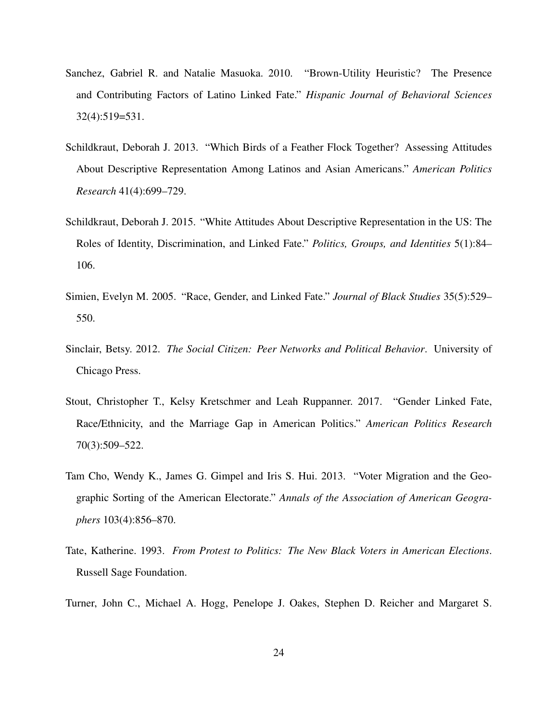- <span id="page-24-2"></span>Sanchez, Gabriel R. and Natalie Masuoka. 2010. "Brown-Utility Heuristic? The Presence and Contributing Factors of Latino Linked Fate." *Hispanic Journal of Behavioral Sciences* 32(4):519=531.
- <span id="page-24-3"></span>Schildkraut, Deborah J. 2013. "Which Birds of a Feather Flock Together? Assessing Attitudes About Descriptive Representation Among Latinos and Asian Americans." *American Politics Research* 41(4):699–729.
- <span id="page-24-4"></span>Schildkraut, Deborah J. 2015. "White Attitudes About Descriptive Representation in the US: The Roles of Identity, Discrimination, and Linked Fate." *Politics, Groups, and Identities* 5(1):84– 106.
- <span id="page-24-0"></span>Simien, Evelyn M. 2005. "Race, Gender, and Linked Fate." *Journal of Black Studies* 35(5):529– 550.
- <span id="page-24-7"></span>Sinclair, Betsy. 2012. *The Social Citizen: Peer Networks and Political Behavior*. University of Chicago Press.
- <span id="page-24-6"></span>Stout, Christopher T., Kelsy Kretschmer and Leah Ruppanner. 2017. "Gender Linked Fate, Race/Ethnicity, and the Marriage Gap in American Politics." *American Politics Research* 70(3):509–522.
- <span id="page-24-8"></span>Tam Cho, Wendy K., James G. Gimpel and Iris S. Hui. 2013. "Voter Migration and the Geographic Sorting of the American Electorate." *Annals of the Association of American Geographers* 103(4):856–870.
- <span id="page-24-1"></span>Tate, Katherine. 1993. *From Protest to Politics: The New Black Voters in American Elections*. Russell Sage Foundation.
- <span id="page-24-5"></span>Turner, John C., Michael A. Hogg, Penelope J. Oakes, Stephen D. Reicher and Margaret S.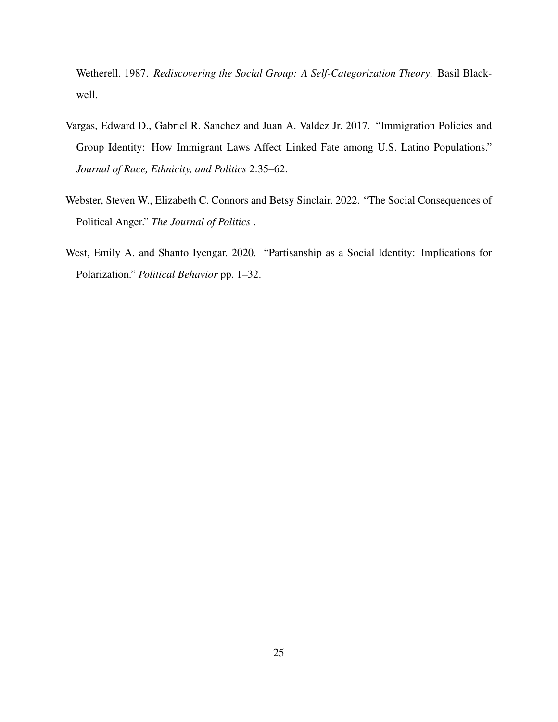Wetherell. 1987. *Rediscovering the Social Group: A Self-Categorization Theory*. Basil Blackwell.

- <span id="page-25-1"></span>Vargas, Edward D., Gabriel R. Sanchez and Juan A. Valdez Jr. 2017. "Immigration Policies and Group Identity: How Immigrant Laws Affect Linked Fate among U.S. Latino Populations." *Journal of Race, Ethnicity, and Politics* 2:35–62.
- <span id="page-25-0"></span>Webster, Steven W., Elizabeth C. Connors and Betsy Sinclair. 2022. "The Social Consequences of Political Anger." *The Journal of Politics* .
- <span id="page-25-2"></span>West, Emily A. and Shanto Iyengar. 2020. "Partisanship as a Social Identity: Implications for Polarization." *Political Behavior* pp. 1–32.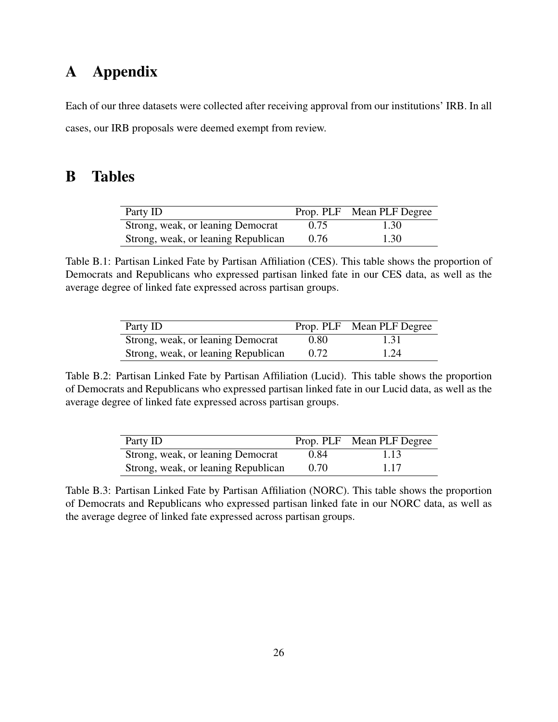# A Appendix

Each of our three datasets were collected after receiving approval from our institutions' IRB. In all cases, our IRB proposals were deemed exempt from review.

# B Tables

| Party ID                            |      | Prop. PLF Mean PLF Degree |
|-------------------------------------|------|---------------------------|
| Strong, weak, or leaning Democrat   | 0.75 | 1.30                      |
| Strong, weak, or leaning Republican | 0.76 | 1.30                      |

Table B.1: Partisan Linked Fate by Partisan Affiliation (CES). This table shows the proportion of Democrats and Republicans who expressed partisan linked fate in our CES data, as well as the average degree of linked fate expressed across partisan groups.

| Party ID                            |      | Prop. PLF Mean PLF Degree |
|-------------------------------------|------|---------------------------|
| Strong, weak, or leaning Democrat   | 0.80 | 1.31                      |
| Strong, weak, or leaning Republican | 0.72 | 1.24                      |

Table B.2: Partisan Linked Fate by Partisan Affiliation (Lucid). This table shows the proportion of Democrats and Republicans who expressed partisan linked fate in our Lucid data, as well as the average degree of linked fate expressed across partisan groups.

| Party ID                            |      | Prop. PLF Mean PLF Degree |
|-------------------------------------|------|---------------------------|
| Strong, weak, or leaning Democrat   | 0.84 | 1.13                      |
| Strong, weak, or leaning Republican | 0.70 | 1.17                      |

Table B.3: Partisan Linked Fate by Partisan Affiliation (NORC). This table shows the proportion of Democrats and Republicans who expressed partisan linked fate in our NORC data, as well as the average degree of linked fate expressed across partisan groups.